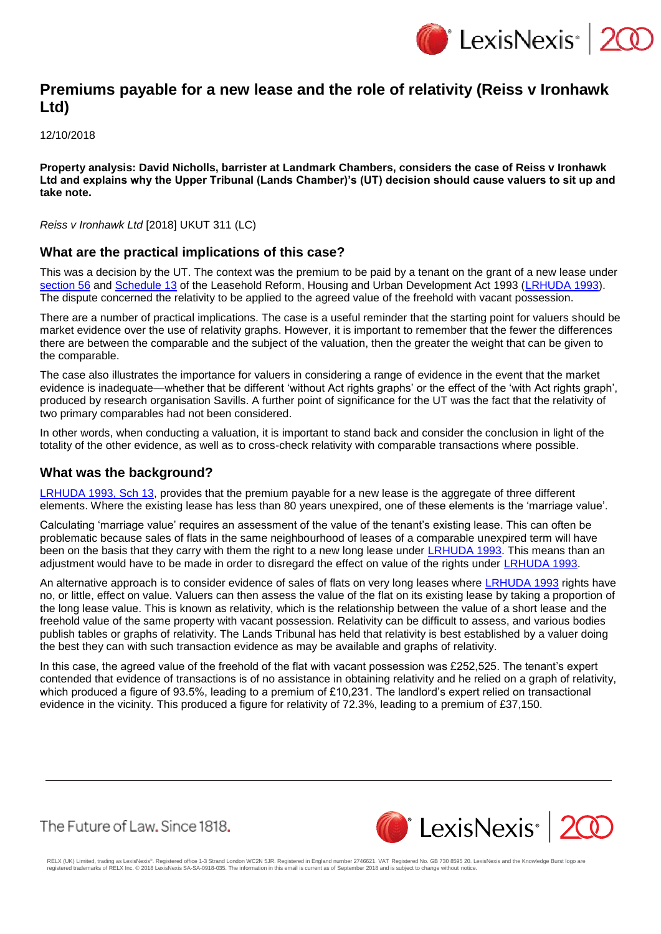

# **Premiums payable for a new lease and the role of relativity (Reiss v Ironhawk Ltd)**

12/10/2018

**Property analysis: David Nicholls, barrister at Landmark Chambers, considers the case of Reiss v Ironhawk Ltd and explains why the Upper Tribunal (Lands Chamber)'s (UT) decision should cause valuers to sit up and take note.**

*Reiss v Ironhawk Ltd* [2018] UKUT 311 (LC)

#### **What are the practical implications of this case?**

This was a decision by the UT. The context was the premium to be paid by a tenant on the grant of a new lease under [section 56](https://www.lexisnexis.com/uk/lexispsl/property/citationlinkHandler.faces?bct=A&service=citation&risb=&UK_ACTS&$num!%251993_28a%25$section!%2556%25$sect!%2556%25) and [Schedule 13](https://www.lexisnexis.com/uk/lexispsl/property/citationlinkHandler.faces?bct=A&service=citation&risb=&UK_ACTS&$num!%251993_28a%25$schedule!%2513%25$sched!%2513%25) of the Leasehold Reform, Housing and Urban Development Act 1993 [\(LRHUDA 1993\)](https://www.lexisnexis.com/uk/lexispsl/property/citationlinkHandler.faces?bct=A&service=citation&risb=&UK_ACTS&$num!%251993_28a_Title%25). The dispute concerned the relativity to be applied to the agreed value of the freehold with vacant possession.

There are a number of practical implications. The case is a useful reminder that the starting point for valuers should be market evidence over the use of relativity graphs. However, it is important to remember that the fewer the differences there are between the comparable and the subject of the valuation, then the greater the weight that can be given to the comparable.

The case also illustrates the importance for valuers in considering a range of evidence in the event that the market evidence is inadequate—whether that be different 'without Act rights graphs' or the effect of the 'with Act rights graph', produced by research organisation Savills. A further point of significance for the UT was the fact that the relativity of two primary comparables had not been considered.

In other words, when conducting a valuation, it is important to stand back and consider the conclusion in light of the totality of the other evidence, as well as to cross-check relativity with comparable transactions where possible.

### **What was the background?**

[LRHUDA 1993, Sch 13,](https://www.lexisnexis.com/uk/lexispsl/property/citationlinkHandler.faces?bct=A&service=citation&risb=&UK_ACTS&$num!%251993_28a%25$schedule!%2513%25$sched!%2513%25) provides that the premium payable for a new lease is the aggregate of three different elements. Where the existing lease has less than 80 years unexpired, one of these elements is the 'marriage value'.

Calculating 'marriage value' requires an assessment of the value of the tenant's existing lease. This can often be problematic because sales of flats in the same neighbourhood of leases of a comparable unexpired term will have been on the basis that they carry with them the right to a new long lease under [LRHUDA 1993.](https://www.lexisnexis.com/uk/lexispsl/property/citationlinkHandler.faces?bct=A&service=citation&risb=&UK_ACTS&$num!%251993_28a_Title%25) This means than an adjustment would have to be made in order to disregard the effect on value of the rights under [LRHUDA 1993.](https://www.lexisnexis.com/uk/lexispsl/property/citationlinkHandler.faces?bct=A&service=citation&risb=&UK_ACTS&$num!%251993_28a_Title%25)

An alternative approach is to consider evidence of sales of flats on very long leases where [LRHUDA 1993](https://www.lexisnexis.com/uk/lexispsl/property/citationlinkHandler.faces?bct=A&service=citation&risb=&UK_ACTS&$num!%251993_28a_Title%25) rights have no, or little, effect on value. Valuers can then assess the value of the flat on its existing lease by taking a proportion of the long lease value. This is known as relativity, which is the relationship between the value of a short lease and the freehold value of the same property with vacant possession. Relativity can be difficult to assess, and various bodies publish tables or graphs of relativity. The Lands Tribunal has held that relativity is best established by a valuer doing the best they can with such transaction evidence as may be available and graphs of relativity.

In this case, the agreed value of the freehold of the flat with vacant possession was £252,525. The tenant's expert contended that evidence of transactions is of no assistance in obtaining relativity and he relied on a graph of relativity, which produced a figure of 93.5%, leading to a premium of £10,231. The landlord's expert relied on transactional evidence in the vicinity. This produced a figure for relativity of 72.3%, leading to a premium of £37,150.

The Future of Law, Since 1818.



RELX (UK) Limited, trading as LexisNexis®. Registered office 1-3 Strand London WC2N 5JR. Registered in England number 2746621. VAT Registered No. GB 730 8595 20. LexisNexis and the Knowledge Burst logo are<br>registered trade